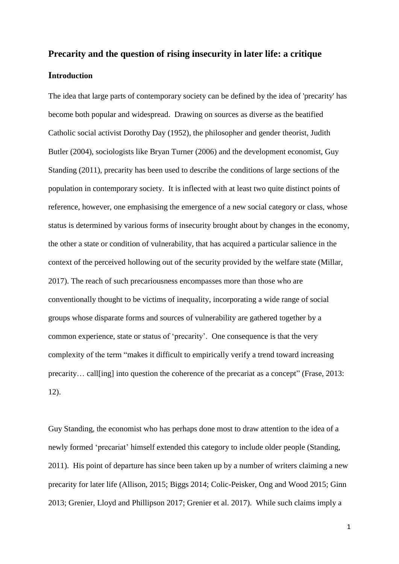# **Precarity and the question of rising insecurity in later life: a critique Introduction**

The idea that large parts of contemporary society can be defined by the idea of 'precarity' has become both popular and widespread. Drawing on sources as diverse as the beatified Catholic social activist Dorothy Day (1952), the philosopher and gender theorist, Judith Butler (2004), sociologists like Bryan Turner (2006) and the development economist, Guy Standing (2011), precarity has been used to describe the conditions of large sections of the population in contemporary society. It is inflected with at least two quite distinct points of reference, however, one emphasising the emergence of a new social category or class, whose status is determined by various forms of insecurity brought about by changes in the economy, the other a state or condition of vulnerability, that has acquired a particular salience in the context of the perceived hollowing out of the security provided by the welfare state (Millar, 2017). The reach of such precariousness encompasses more than those who are conventionally thought to be victims of inequality, incorporating a wide range of social groups whose disparate forms and sources of vulnerability are gathered together by a common experience, state or status of 'precarity'. One consequence is that the very complexity of the term "makes it difficult to empirically verify a trend toward increasing precarity… call[ing] into question the coherence of the precariat as a concept" (Frase, 2013: 12).

Guy Standing, the economist who has perhaps done most to draw attention to the idea of a newly formed 'precariat' himself extended this category to include older people (Standing, 2011). His point of departure has since been taken up by a number of writers claiming a new precarity for later life (Allison, 2015; Biggs 2014; Colic-Peisker, Ong and Wood 2015; Ginn 2013; Grenier, Lloyd and Phillipson 2017; Grenier et al. 2017). While such claims imply a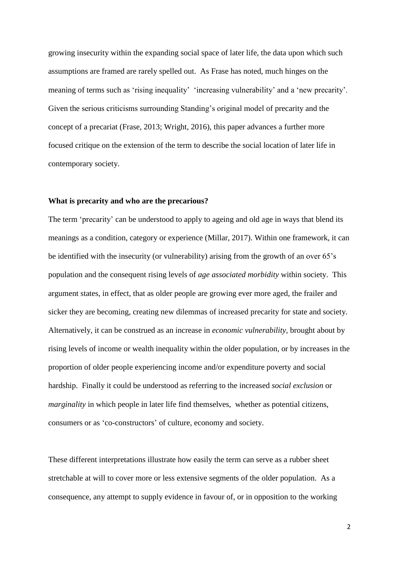growing insecurity within the expanding social space of later life, the data upon which such assumptions are framed are rarely spelled out. As Frase has noted, much hinges on the meaning of terms such as 'rising inequality' 'increasing vulnerability' and a 'new precarity'. Given the serious criticisms surrounding Standing's original model of precarity and the concept of a precariat (Frase, 2013; Wright, 2016), this paper advances a further more focused critique on the extension of the term to describe the social location of later life in contemporary society.

## **What is precarity and who are the precarious?**

The term 'precarity' can be understood to apply to ageing and old age in ways that blend its meanings as a condition, category or experience (Millar, 2017). Within one framework, it can be identified with the insecurity (or vulnerability) arising from the growth of an over 65's population and the consequent rising levels of *age associated morbidity* within society. This argument states, in effect, that as older people are growing ever more aged, the frailer and sicker they are becoming, creating new dilemmas of increased precarity for state and society. Alternatively, it can be construed as an increase in *economic vulnerability,* brought about by rising levels of income or wealth inequality within the older population, or by increases in the proportion of older people experiencing income and/or expenditure poverty and social hardship. Finally it could be understood as referring to the increased *social exclusion* or *marginality* in which people in later life find themselves, whether as potential citizens, consumers or as 'co-constructors' of culture, economy and society.

These different interpretations illustrate how easily the term can serve as a rubber sheet stretchable at will to cover more or less extensive segments of the older population. As a consequence, any attempt to supply evidence in favour of, or in opposition to the working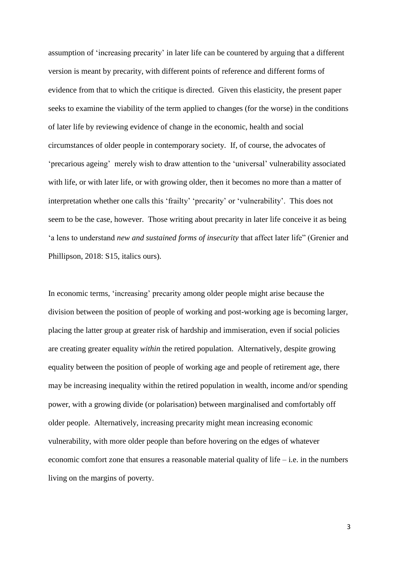assumption of 'increasing precarity' in later life can be countered by arguing that a different version is meant by precarity, with different points of reference and different forms of evidence from that to which the critique is directed. Given this elasticity, the present paper seeks to examine the viability of the term applied to changes (for the worse) in the conditions of later life by reviewing evidence of change in the economic, health and social circumstances of older people in contemporary society. If, of course, the advocates of 'precarious ageing' merely wish to draw attention to the 'universal' vulnerability associated with life, or with later life, or with growing older, then it becomes no more than a matter of interpretation whether one calls this 'frailty' 'precarity' or 'vulnerability'. This does not seem to be the case, however. Those writing about precarity in later life conceive it as being 'a lens to understand *new and sustained forms of insecurity* that affect later life" (Grenier and Phillipson, 2018: S15, italics ours).

In economic terms, 'increasing' precarity among older people might arise because the division between the position of people of working and post-working age is becoming larger, placing the latter group at greater risk of hardship and immiseration, even if social policies are creating greater equality *within* the retired population. Alternatively, despite growing equality between the position of people of working age and people of retirement age, there may be increasing inequality within the retired population in wealth, income and/or spending power, with a growing divide (or polarisation) between marginalised and comfortably off older people. Alternatively, increasing precarity might mean increasing economic vulnerability, with more older people than before hovering on the edges of whatever economic comfort zone that ensures a reasonable material quality of life – i.e. in the numbers living on the margins of poverty.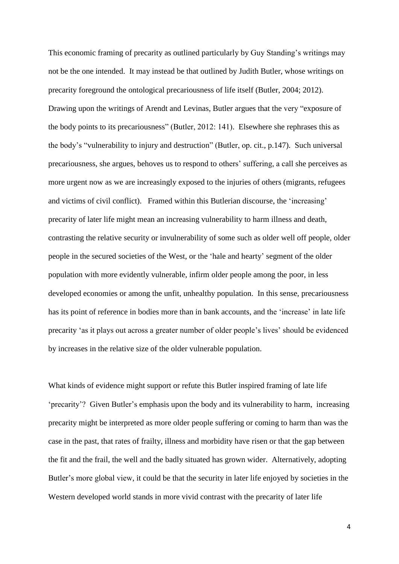This economic framing of precarity as outlined particularly by Guy Standing's writings may not be the one intended. It may instead be that outlined by Judith Butler, whose writings on precarity foreground the ontological precariousness of life itself (Butler, 2004; 2012). Drawing upon the writings of Arendt and Levinas, Butler argues that the very "exposure of the body points to its precariousness" (Butler, 2012: 141). Elsewhere she rephrases this as the body's "vulnerability to injury and destruction" (Butler, op. cit., p.147). Such universal precariousness, she argues, behoves us to respond to others' suffering, a call she perceives as more urgent now as we are increasingly exposed to the injuries of others (migrants, refugees and victims of civil conflict). Framed within this Butlerian discourse, the 'increasing' precarity of later life might mean an increasing vulnerability to harm illness and death, contrasting the relative security or invulnerability of some such as older well off people, older people in the secured societies of the West, or the 'hale and hearty' segment of the older population with more evidently vulnerable, infirm older people among the poor, in less developed economies or among the unfit, unhealthy population. In this sense, precariousness has its point of reference in bodies more than in bank accounts, and the 'increase' in late life precarity 'as it plays out across a greater number of older people's lives' should be evidenced by increases in the relative size of the older vulnerable population.

What kinds of evidence might support or refute this Butler inspired framing of late life 'precarity'? Given Butler's emphasis upon the body and its vulnerability to harm, increasing precarity might be interpreted as more older people suffering or coming to harm than was the case in the past, that rates of frailty, illness and morbidity have risen or that the gap between the fit and the frail, the well and the badly situated has grown wider. Alternatively, adopting Butler's more global view, it could be that the security in later life enjoyed by societies in the Western developed world stands in more vivid contrast with the precarity of later life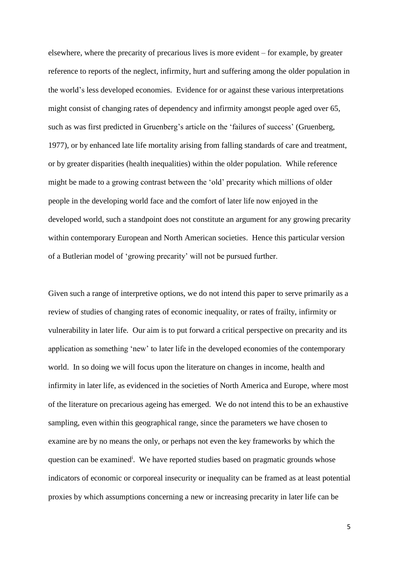elsewhere, where the precarity of precarious lives is more evident – for example, by greater reference to reports of the neglect, infirmity, hurt and suffering among the older population in the world's less developed economies. Evidence for or against these various interpretations might consist of changing rates of dependency and infirmity amongst people aged over 65, such as was first predicted in Gruenberg's article on the 'failures of success' (Gruenberg, 1977), or by enhanced late life mortality arising from falling standards of care and treatment, or by greater disparities (health inequalities) within the older population. While reference might be made to a growing contrast between the 'old' precarity which millions of older people in the developing world face and the comfort of later life now enjoyed in the developed world, such a standpoint does not constitute an argument for any growing precarity within contemporary European and North American societies. Hence this particular version of a Butlerian model of 'growing precarity' will not be pursued further.

Given such a range of interpretive options, we do not intend this paper to serve primarily as a review of studies of changing rates of economic inequality, or rates of frailty, infirmity or vulnerability in later life. Our aim is to put forward a critical perspective on precarity and its application as something 'new' to later life in the developed economies of the contemporary world. In so doing we will focus upon the literature on changes in income, health and infirmity in later life, as evidenced in the societies of North America and Europe, where most of the literature on precarious ageing has emerged. We do not intend this to be an exhaustive sampling, even within this geographical range, since the parameters we have chosen to examine are by no means the only, or perhaps not even the key frameworks by which the question can be examined<sup>i</sup>. We have reported studies based on pragmatic grounds whose indicators of economic or corporeal insecurity or inequality can be framed as at least potential proxies by which assumptions concerning a new or increasing precarity in later life can be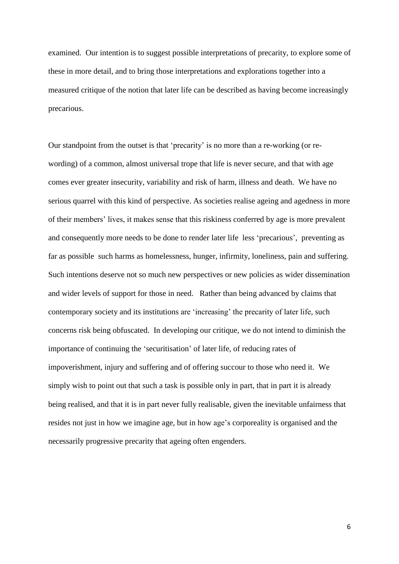examined. Our intention is to suggest possible interpretations of precarity, to explore some of these in more detail, and to bring those interpretations and explorations together into a measured critique of the notion that later life can be described as having become increasingly precarious.

Our standpoint from the outset is that 'precarity' is no more than a re-working (or rewording) of a common, almost universal trope that life is never secure, and that with age comes ever greater insecurity, variability and risk of harm, illness and death. We have no serious quarrel with this kind of perspective. As societies realise ageing and agedness in more of their members' lives, it makes sense that this riskiness conferred by age is more prevalent and consequently more needs to be done to render later life less 'precarious', preventing as far as possible such harms as homelessness, hunger, infirmity, loneliness, pain and suffering. Such intentions deserve not so much new perspectives or new policies as wider dissemination and wider levels of support for those in need. Rather than being advanced by claims that contemporary society and its institutions are 'increasing' the precarity of later life, such concerns risk being obfuscated. In developing our critique, we do not intend to diminish the importance of continuing the 'securitisation' of later life, of reducing rates of impoverishment, injury and suffering and of offering succour to those who need it. We simply wish to point out that such a task is possible only in part, that in part it is already being realised, and that it is in part never fully realisable, given the inevitable unfairness that resides not just in how we imagine age, but in how age's corporeality is organised and the necessarily progressive precarity that ageing often engenders.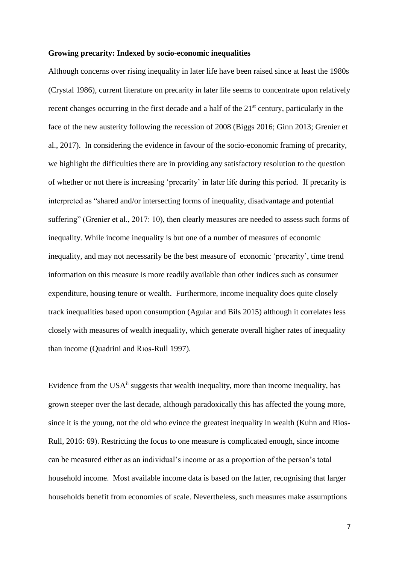#### **Growing precarity: Indexed by socio-economic inequalities**

Although concerns over rising inequality in later life have been raised since at least the 1980s (Crystal 1986), current literature on precarity in later life seems to concentrate upon relatively recent changes occurring in the first decade and a half of the 21<sup>st</sup> century, particularly in the face of the new austerity following the recession of 2008 (Biggs 2016; Ginn 2013; Grenier et al., 2017). In considering the evidence in favour of the socio-economic framing of precarity, we highlight the difficulties there are in providing any satisfactory resolution to the question of whether or not there is increasing 'precarity' in later life during this period. If precarity is interpreted as "shared and/or intersecting forms of inequality, disadvantage and potential suffering" (Grenier et al., 2017: 10), then clearly measures are needed to assess such forms of inequality. While income inequality is but one of a number of measures of economic inequality, and may not necessarily be the best measure of economic 'precarity', time trend information on this measure is more readily available than other indices such as consumer expenditure, housing tenure or wealth. Furthermore, income inequality does quite closely track inequalities based upon consumption (Aguiar and Bils 2015) although it correlates less closely with measures of wealth inequality, which generate overall higher rates of inequality than income (Quadrini and Rıos-Rull 1997).

Evidence from the USA $\mathbf{u}$  suggests that wealth inequality, more than income inequality, has grown steeper over the last decade, although paradoxically this has affected the young more, since it is the young, not the old who evince the greatest inequality in wealth (Kuhn and Rios-Rull, 2016: 69). Restricting the focus to one measure is complicated enough, since income can be measured either as an individual's income or as a proportion of the person's total household income. Most available income data is based on the latter, recognising that larger households benefit from economies of scale. Nevertheless, such measures make assumptions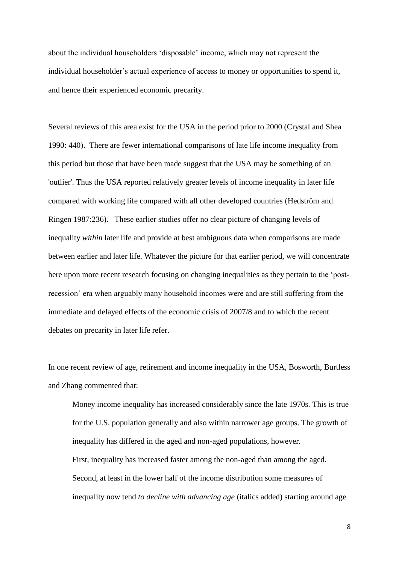about the individual householders 'disposable' income, which may not represent the individual householder's actual experience of access to money or opportunities to spend it, and hence their experienced economic precarity.

Several reviews of this area exist for the USA in the period prior to 2000 (Crystal and Shea 1990: 440). There are fewer international comparisons of late life income inequality from this period but those that have been made suggest that the USA may be something of an 'outlier'. Thus the USA reported relatively greater levels of income inequality in later life compared with working life compared with all other developed countries (Hedström and Ringen 1987:236). These earlier studies offer no clear picture of changing levels of inequality *within* later life and provide at best ambiguous data when comparisons are made between earlier and later life. Whatever the picture for that earlier period, we will concentrate here upon more recent research focusing on changing inequalities as they pertain to the 'postrecession' era when arguably many household incomes were and are still suffering from the immediate and delayed effects of the economic crisis of 2007/8 and to which the recent debates on precarity in later life refer.

In one recent review of age, retirement and income inequality in the USA, Bosworth, Burtless and Zhang commented that:

Money income inequality has increased considerably since the late 1970s. This is true for the U.S. population generally and also within narrower age groups. The growth of inequality has differed in the aged and non-aged populations, however. First, inequality has increased faster among the non-aged than among the aged. Second, at least in the lower half of the income distribution some measures of inequality now tend *to decline with advancing age* (italics added) starting around age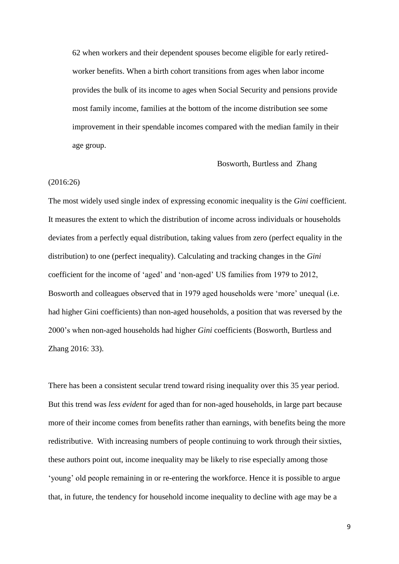62 when workers and their dependent spouses become eligible for early retiredworker benefits. When a birth cohort transitions from ages when labor income provides the bulk of its income to ages when Social Security and pensions provide most family income, families at the bottom of the income distribution see some improvement in their spendable incomes compared with the median family in their age group.

#### Bosworth, Burtless and Zhang

#### (2016:26)

The most widely used single index of expressing economic inequality is the *Gini* coefficient. It measures the extent to which the distribution of income across individuals or households deviates from a perfectly equal distribution, taking values from zero (perfect equality in the distribution) to one (perfect inequality). Calculating and tracking changes in the *Gini* coefficient for the income of 'aged' and 'non-aged' US families from 1979 to 2012, Bosworth and colleagues observed that in 1979 aged households were 'more' unequal (i.e. had higher Gini coefficients) than non-aged households, a position that was reversed by the 2000's when non-aged households had higher *Gini* coefficients (Bosworth, Burtless and Zhang 2016: 33).

There has been a consistent secular trend toward rising inequality over this 35 year period. But this trend was *less evident* for aged than for non-aged households, in large part because more of their income comes from benefits rather than earnings, with benefits being the more redistributive. With increasing numbers of people continuing to work through their sixties, these authors point out, income inequality may be likely to rise especially among those 'young' old people remaining in or re-entering the workforce. Hence it is possible to argue that, in future, the tendency for household income inequality to decline with age may be a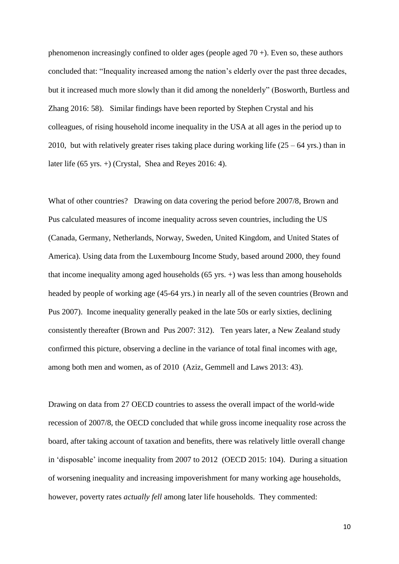phenomenon increasingly confined to older ages (people aged 70 +). Even so, these authors concluded that: "Inequality increased among the nation's elderly over the past three decades, but it increased much more slowly than it did among the nonelderly" (Bosworth, Burtless and Zhang 2016: 58). Similar findings have been reported by Stephen Crystal and his colleagues, of rising household income inequality in the USA at all ages in the period up to 2010, but with relatively greater rises taking place during working life  $(25 - 64 \text{ yrs.})$  than in later life (65 yrs. +) (Crystal, Shea and Reyes 2016: 4).

What of other countries? Drawing on data covering the period before 2007/8, Brown and Pus calculated measures of income inequality across seven countries, including the US (Canada, Germany, Netherlands, Norway, Sweden, United Kingdom, and United States of America). Using data from the Luxembourg Income Study, based around 2000, they found that income inequality among aged households (65 yrs. +) was less than among households headed by people of working age (45-64 yrs.) in nearly all of the seven countries (Brown and Pus 2007). Income inequality generally peaked in the late 50s or early sixties, declining consistently thereafter (Brown and Pus 2007: 312). Ten years later, a New Zealand study confirmed this picture, observing a decline in the variance of total final incomes with age, among both men and women, as of 2010 (Aziz, Gemmell and Laws 2013: 43).

Drawing on data from 27 OECD countries to assess the overall impact of the world-wide recession of 2007/8, the OECD concluded that while gross income inequality rose across the board, after taking account of taxation and benefits, there was relatively little overall change in 'disposable' income inequality from 2007 to 2012 (OECD 2015: 104). During a situation of worsening inequality and increasing impoverishment for many working age households, however, poverty rates *actually fell* among later life households. They commented: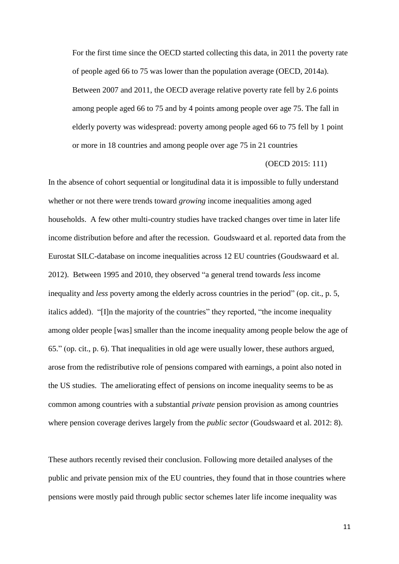For the first time since the OECD started collecting this data, in 2011 the poverty rate of people aged 66 to 75 was lower than the population average (OECD, 2014a). Between 2007 and 2011, the OECD average relative poverty rate fell by 2.6 points among people aged 66 to 75 and by 4 points among people over age 75. The fall in elderly poverty was widespread: poverty among people aged 66 to 75 fell by 1 point or more in 18 countries and among people over age 75 in 21 countries

#### (OECD 2015: 111)

In the absence of cohort sequential or longitudinal data it is impossible to fully understand whether or not there were trends toward *growing* income inequalities among aged households. A few other multi-country studies have tracked changes over time in later life income distribution before and after the recession. Goudswaard et al. reported data from the Eurostat SILC-database on income inequalities across 12 EU countries (Goudswaard et al. 2012). Between 1995 and 2010, they observed "a general trend towards *less* income inequality and *less* poverty among the elderly across countries in the period" (op. cit., p. 5, italics added). "[I]n the majority of the countries" they reported, "the income inequality among older people [was] smaller than the income inequality among people below the age of 65." (op. cit., p. 6). That inequalities in old age were usually lower, these authors argued, arose from the redistributive role of pensions compared with earnings, a point also noted in the US studies. The ameliorating effect of pensions on income inequality seems to be as common among countries with a substantial *private* pension provision as among countries where pension coverage derives largely from the *public sector* (Goudswaard et al. 2012: 8).

These authors recently revised their conclusion. Following more detailed analyses of the public and private pension mix of the EU countries, they found that in those countries where pensions were mostly paid through public sector schemes later life income inequality was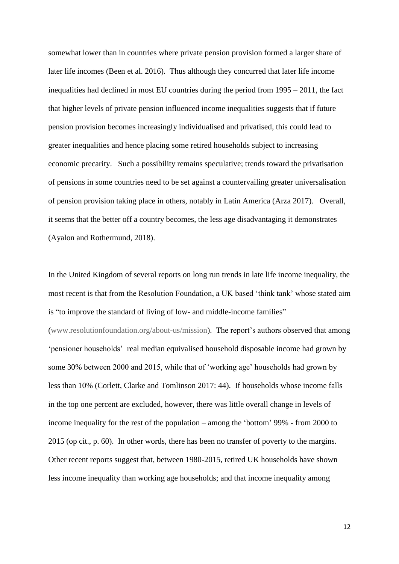somewhat lower than in countries where private pension provision formed a larger share of later life incomes (Been et al. 2016). Thus although they concurred that later life income inequalities had declined in most EU countries during the period from 1995 – 2011, the fact that higher levels of private pension influenced income inequalities suggests that if future pension provision becomes increasingly individualised and privatised, this could lead to greater inequalities and hence placing some retired households subject to increasing economic precarity. Such a possibility remains speculative; trends toward the privatisation of pensions in some countries need to be set against a countervailing greater universalisation of pension provision taking place in others, notably in Latin America (Arza 2017). Overall, it seems that the better off a country becomes, the less age disadvantaging it demonstrates (Ayalon and Rothermund, 2018).

In the United Kingdom of several reports on long run trends in late life income inequality, the most recent is that from the Resolution Foundation, a UK based 'think tank' whose stated aim is "to improve the standard of living of low- and middle-income families" [\(www.resolutionfoundation.org/about-us/mission\)](http://www.resolutionfoundation.org/about-us/mission). The report's authors observed that among 'pensioner households' real median equivalised household disposable income had grown by some 30% between 2000 and 2015, while that of 'working age' households had grown by less than 10% (Corlett, Clarke and Tomlinson 2017: 44). If households whose income falls in the top one percent are excluded, however, there was little overall change in levels of income inequality for the rest of the population – among the 'bottom' 99% - from 2000 to 2015 (op cit., p. 60). In other words, there has been no transfer of poverty to the margins. Other recent reports suggest that, between 1980-2015, retired UK households have shown less income inequality than working age households; and that income inequality among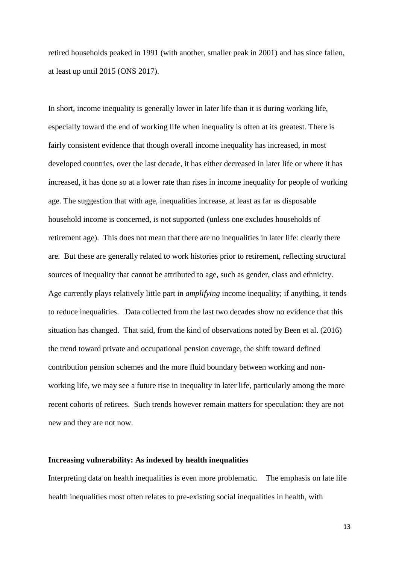retired households peaked in 1991 (with another, smaller peak in 2001) and has since fallen, at least up until 2015 (ONS 2017).

In short, income inequality is generally lower in later life than it is during working life, especially toward the end of working life when inequality is often at its greatest. There is fairly consistent evidence that though overall income inequality has increased, in most developed countries, over the last decade, it has either decreased in later life or where it has increased, it has done so at a lower rate than rises in income inequality for people of working age. The suggestion that with age, inequalities increase, at least as far as disposable household income is concerned, is not supported (unless one excludes households of retirement age). This does not mean that there are no inequalities in later life: clearly there are. But these are generally related to work histories prior to retirement, reflecting structural sources of inequality that cannot be attributed to age, such as gender, class and ethnicity. Age currently plays relatively little part in *amplifying* income inequality; if anything, it tends to reduce inequalities. Data collected from the last two decades show no evidence that this situation has changed. That said, from the kind of observations noted by Been et al. (2016) the trend toward private and occupational pension coverage, the shift toward defined contribution pension schemes and the more fluid boundary between working and nonworking life, we may see a future rise in inequality in later life, particularly among the more recent cohorts of retirees. Such trends however remain matters for speculation: they are not new and they are not now.

## **Increasing vulnerability: As indexed by health inequalities**

Interpreting data on health inequalities is even more problematic. The emphasis on late life health inequalities most often relates to pre-existing social inequalities in health, with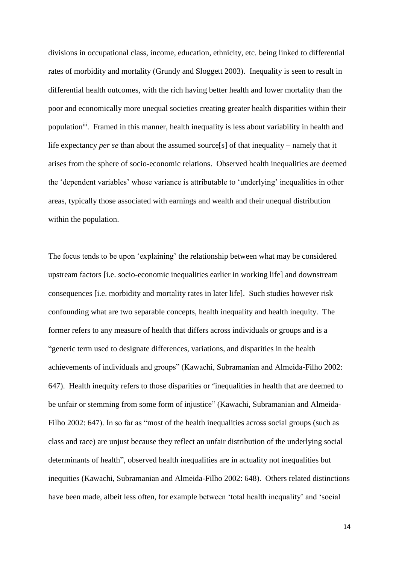divisions in occupational class, income, education, ethnicity, etc. being linked to differential rates of morbidity and mortality (Grundy and Sloggett 2003). Inequality is seen to result in differential health outcomes, with the rich having better health and lower mortality than the poor and economically more unequal societies creating greater health disparities within their population<sup>iii</sup>. Framed in this manner, health inequality is less about variability in health and life expectancy *per se* than about the assumed source[s] of that inequality – namely that it arises from the sphere of socio-economic relations. Observed health inequalities are deemed the 'dependent variables' whose variance is attributable to 'underlying' inequalities in other areas, typically those associated with earnings and wealth and their unequal distribution within the population.

The focus tends to be upon 'explaining' the relationship between what may be considered upstream factors [i.e. socio-economic inequalities earlier in working life] and downstream consequences [i.e. morbidity and mortality rates in later life]. Such studies however risk confounding what are two separable concepts, health inequality and health inequity. The former refers to any measure of health that differs across individuals or groups and is a "generic term used to designate differences, variations, and disparities in the health achievements of individuals and groups" (Kawachi, Subramanian and Almeida-Filho 2002: 647). Health inequity refers to those disparities or "inequalities in health that are deemed to be unfair or stemming from some form of injustice" (Kawachi, Subramanian and Almeida-Filho 2002: 647). In so far as "most of the health inequalities across social groups (such as class and race) are unjust because they reflect an unfair distribution of the underlying social determinants of health", observed health inequalities are in actuality not inequalities but inequities (Kawachi, Subramanian and Almeida-Filho 2002: 648). Others related distinctions have been made, albeit less often, for example between 'total health inequality' and 'social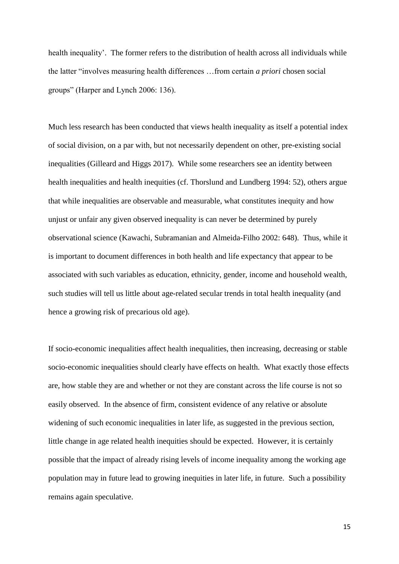health inequality'. The former refers to the distribution of health across all individuals while the latter "involves measuring health differences …from certain *a priori* chosen social groups" (Harper and Lynch 2006: 136).

Much less research has been conducted that views health inequality as itself a potential index of social division, on a par with, but not necessarily dependent on other, pre-existing social inequalities (Gilleard and Higgs 2017). While some researchers see an identity between health inequalities and health inequities (cf. Thorslund and Lundberg 1994: 52), others argue that while inequalities are observable and measurable, what constitutes inequity and how unjust or unfair any given observed inequality is can never be determined by purely observational science (Kawachi, Subramanian and Almeida-Filho 2002: 648). Thus, while it is important to document differences in both health and life expectancy that appear to be associated with such variables as education, ethnicity, gender, income and household wealth, such studies will tell us little about age-related secular trends in total health inequality (and hence a growing risk of precarious old age).

If socio-economic inequalities affect health inequalities, then increasing, decreasing or stable socio-economic inequalities should clearly have effects on health. What exactly those effects are, how stable they are and whether or not they are constant across the life course is not so easily observed. In the absence of firm, consistent evidence of any relative or absolute widening of such economic inequalities in later life, as suggested in the previous section, little change in age related health inequities should be expected. However, it is certainly possible that the impact of already rising levels of income inequality among the working age population may in future lead to growing inequities in later life, in future. Such a possibility remains again speculative.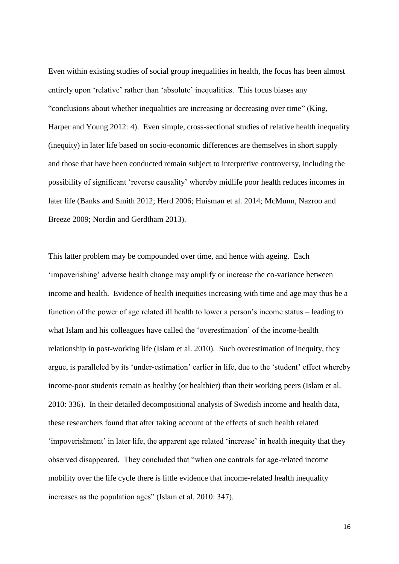Even within existing studies of social group inequalities in health, the focus has been almost entirely upon 'relative' rather than 'absolute' inequalities. This focus biases any "conclusions about whether inequalities are increasing or decreasing over time" (King, Harper and Young 2012: 4). Even simple, cross-sectional studies of relative health inequality (inequity) in later life based on socio-economic differences are themselves in short supply and those that have been conducted remain subject to interpretive controversy, including the possibility of significant 'reverse causality' whereby midlife poor health reduces incomes in later life (Banks and Smith 2012; Herd 2006; Huisman et al. 2014; McMunn, Nazroo and Breeze 2009; Nordin and Gerdtham 2013).

This latter problem may be compounded over time, and hence with ageing. Each 'impoverishing' adverse health change may amplify or increase the co-variance between income and health. Evidence of health inequities increasing with time and age may thus be a function of the power of age related ill health to lower a person's income status – leading to what Islam and his colleagues have called the 'overestimation' of the income-health relationship in post-working life (Islam et al. 2010). Such overestimation of inequity, they argue, is paralleled by its 'under-estimation' earlier in life, due to the 'student' effect whereby income-poor students remain as healthy (or healthier) than their working peers (Islam et al. 2010: 336). In their detailed decompositional analysis of Swedish income and health data, these researchers found that after taking account of the effects of such health related 'impoverishment' in later life, the apparent age related 'increase' in health inequity that they observed disappeared. They concluded that "when one controls for age-related income mobility over the life cycle there is little evidence that income-related health inequality increases as the population ages" (Islam et al. 2010: 347).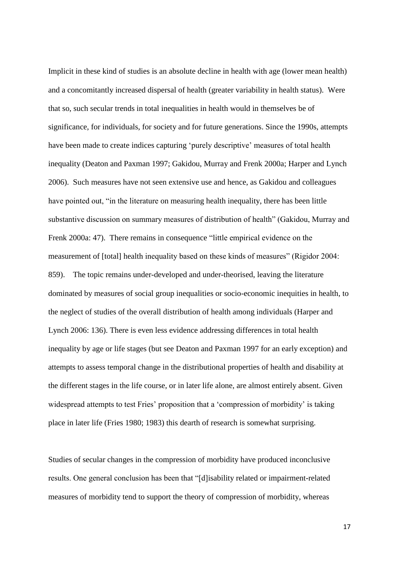Implicit in these kind of studies is an absolute decline in health with age (lower mean health) and a concomitantly increased dispersal of health (greater variability in health status). Were that so, such secular trends in total inequalities in health would in themselves be of significance, for individuals, for society and for future generations. Since the 1990s, attempts have been made to create indices capturing 'purely descriptive' measures of total health inequality (Deaton and Paxman 1997; Gakidou, Murray and Frenk 2000a; Harper and Lynch 2006). Such measures have not seen extensive use and hence, as Gakidou and colleagues have pointed out, "in the literature on measuring health inequality, there has been little substantive discussion on summary measures of distribution of health" (Gakidou, Murray and Frenk 2000a: 47). There remains in consequence "little empirical evidence on the measurement of [total] health inequality based on these kinds of measures" (Rigidor 2004: 859). The topic remains under-developed and under-theorised, leaving the literature dominated by measures of social group inequalities or socio-economic inequities in health, to the neglect of studies of the overall distribution of health among individuals (Harper and Lynch 2006: 136). There is even less evidence addressing differences in total health inequality by age or life stages (but see Deaton and Paxman 1997 for an early exception) and attempts to assess temporal change in the distributional properties of health and disability at the different stages in the life course, or in later life alone, are almost entirely absent. Given widespread attempts to test Fries' proposition that a 'compression of morbidity' is taking place in later life (Fries 1980; 1983) this dearth of research is somewhat surprising.

Studies of secular changes in the compression of morbidity have produced inconclusive results. One general conclusion has been that "[d]isability related or impairment-related measures of morbidity tend to support the theory of compression of morbidity, whereas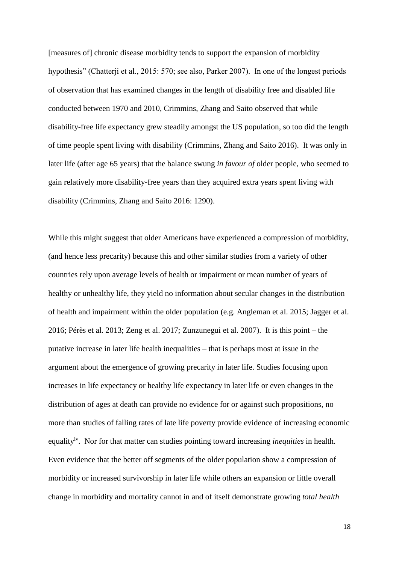[measures of] chronic disease morbidity tends to support the expansion of morbidity hypothesis" (Chatterji et al., 2015: 570; see also, Parker 2007). In one of the longest periods of observation that has examined changes in the length of disability free and disabled life conducted between 1970 and 2010, Crimmins, Zhang and Saito observed that while disability-free life expectancy grew steadily amongst the US population, so too did the length of time people spent living with disability (Crimmins, Zhang and Saito 2016). It was only in later life (after age 65 years) that the balance swung *in favour of* older people, who seemed to gain relatively more disability-free years than they acquired extra years spent living with disability (Crimmins, Zhang and Saito 2016: 1290).

While this might suggest that older Americans have experienced a compression of morbidity, (and hence less precarity) because this and other similar studies from a variety of other countries rely upon average levels of health or impairment or mean number of years of healthy or unhealthy life, they yield no information about secular changes in the distribution of health and impairment within the older population (e.g. Angleman et al. 2015; Jagger et al. 2016; Pérès et al. 2013; Zeng et al. 2017; Zunzunegui et al. 2007). It is this point – the putative increase in later life health inequalities – that is perhaps most at issue in the argument about the emergence of growing precarity in later life. Studies focusing upon increases in life expectancy or healthy life expectancy in later life or even changes in the distribution of ages at death can provide no evidence for or against such propositions, no more than studies of falling rates of late life poverty provide evidence of increasing economic equalityiv. Nor for that matter can studies pointing toward increasing *inequities* in health. Even evidence that the better off segments of the older population show a compression of morbidity or increased survivorship in later life while others an expansion or little overall change in morbidity and mortality cannot in and of itself demonstrate growing *total health*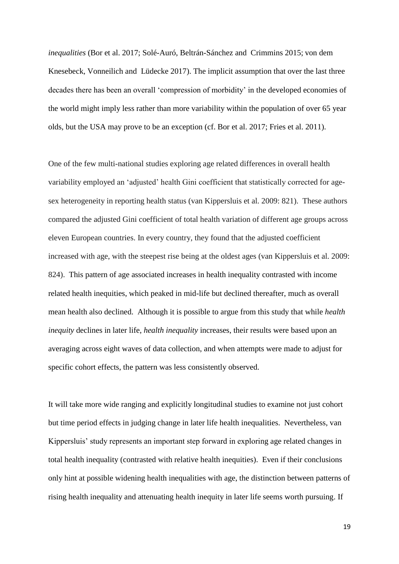*inequalities* (Bor et al. 2017; Solé-Auró, Beltrán-Sánchez and Crimmins 2015; von dem Knesebeck, Vonneilich and Lüdecke 2017). The implicit assumption that over the last three decades there has been an overall 'compression of morbidity' in the developed economies of the world might imply less rather than more variability within the population of over 65 year olds, but the USA may prove to be an exception (cf. Bor et al. 2017; Fries et al. 2011).

One of the few multi-national studies exploring age related differences in overall health variability employed an 'adjusted' health Gini coefficient that statistically corrected for agesex heterogeneity in reporting health status (van Kippersluis et al. 2009: 821). These authors compared the adjusted Gini coefficient of total health variation of different age groups across eleven European countries. In every country, they found that the adjusted coefficient increased with age, with the steepest rise being at the oldest ages (van Kippersluis et al. 2009: 824). This pattern of age associated increases in health inequality contrasted with income related health inequities, which peaked in mid-life but declined thereafter, much as overall mean health also declined. Although it is possible to argue from this study that while *health inequity* declines in later life, *health inequality* increases, their results were based upon an averaging across eight waves of data collection, and when attempts were made to adjust for specific cohort effects, the pattern was less consistently observed.

It will take more wide ranging and explicitly longitudinal studies to examine not just cohort but time period effects in judging change in later life health inequalities. Nevertheless, van Kippersluis' study represents an important step forward in exploring age related changes in total health inequality (contrasted with relative health inequities). Even if their conclusions only hint at possible widening health inequalities with age, the distinction between patterns of rising health inequality and attenuating health inequity in later life seems worth pursuing. If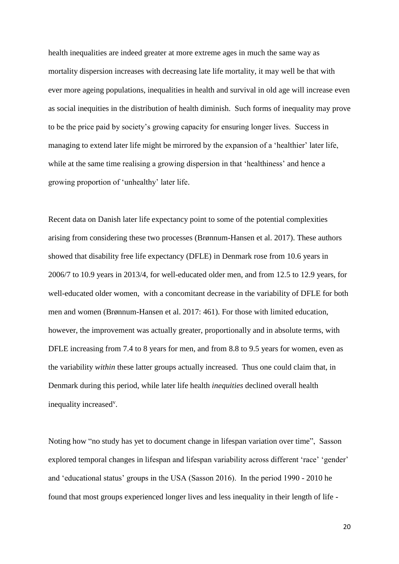health inequalities are indeed greater at more extreme ages in much the same way as mortality dispersion increases with decreasing late life mortality, it may well be that with ever more ageing populations, inequalities in health and survival in old age will increase even as social inequities in the distribution of health diminish. Such forms of inequality may prove to be the price paid by society's growing capacity for ensuring longer lives. Success in managing to extend later life might be mirrored by the expansion of a 'healthier' later life, while at the same time realising a growing dispersion in that 'healthiness' and hence a growing proportion of 'unhealthy' later life.

Recent data on Danish later life expectancy point to some of the potential complexities arising from considering these two processes (Brønnum-Hansen et al. 2017). These authors showed that disability free life expectancy (DFLE) in Denmark rose from 10.6 years in 2006/7 to 10.9 years in 2013/4, for well-educated older men, and from 12.5 to 12.9 years, for well-educated older women, with a concomitant decrease in the variability of DFLE for both men and women (Brønnum-Hansen et al. 2017: 461). For those with limited education, however, the improvement was actually greater, proportionally and in absolute terms, with DFLE increasing from 7.4 to 8 years for men, and from 8.8 to 9.5 years for women, even as the variability *within* these latter groups actually increased. Thus one could claim that, in Denmark during this period, while later life health *inequities* declined overall health inequality increased<sup>v</sup>.

Noting how "no study has yet to document change in lifespan variation over time", Sasson explored temporal changes in lifespan and lifespan variability across different 'race' 'gender' and 'educational status' groups in the USA (Sasson 2016). In the period 1990 - 2010 he found that most groups experienced longer lives and less inequality in their length of life -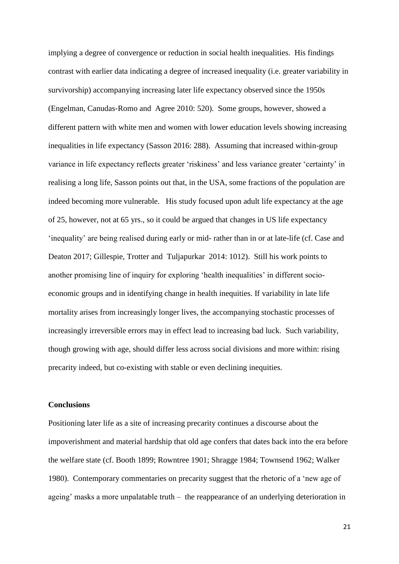implying a degree of convergence or reduction in social health inequalities. His findings contrast with earlier data indicating a degree of increased inequality (i.e. greater variability in survivorship) accompanying increasing later life expectancy observed since the 1950s (Engelman, Canudas‐Romo and Agree 2010: 520). Some groups, however, showed a different pattern with white men and women with lower education levels showing increasing inequalities in life expectancy (Sasson 2016: 288). Assuming that increased within-group variance in life expectancy reflects greater 'riskiness' and less variance greater 'certainty' in realising a long life, Sasson points out that, in the USA, some fractions of the population are indeed becoming more vulnerable. His study focused upon adult life expectancy at the age of 25, however, not at 65 yrs., so it could be argued that changes in US life expectancy 'inequality' are being realised during early or mid- rather than in or at late-life (cf. Case and Deaton 2017; Gillespie, Trotter and Tuljapurkar 2014: 1012). Still his work points to another promising line of inquiry for exploring 'health inequalities' in different socioeconomic groups and in identifying change in health inequities. If variability in late life mortality arises from increasingly longer lives, the accompanying stochastic processes of increasingly irreversible errors may in effect lead to increasing bad luck. Such variability, though growing with age, should differ less across social divisions and more within: rising precarity indeed, but co-existing with stable or even declining inequities.

### **Conclusions**

Positioning later life as a site of increasing precarity continues a discourse about the impoverishment and material hardship that old age confers that dates back into the era before the welfare state (cf. Booth 1899; Rowntree 1901; Shragge 1984; Townsend 1962; Walker 1980). Contemporary commentaries on precarity suggest that the rhetoric of a 'new age of ageing' masks a more unpalatable truth – the reappearance of an underlying deterioration in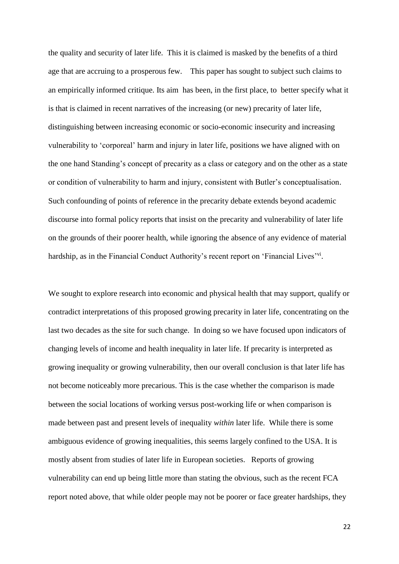the quality and security of later life. This it is claimed is masked by the benefits of a third age that are accruing to a prosperous few. This paper has sought to subject such claims to an empirically informed critique. Its aim has been, in the first place, to better specify what it is that is claimed in recent narratives of the increasing (or new) precarity of later life, distinguishing between increasing economic or socio-economic insecurity and increasing vulnerability to 'corporeal' harm and injury in later life, positions we have aligned with on the one hand Standing's concept of precarity as a class or category and on the other as a state or condition of vulnerability to harm and injury, consistent with Butler's conceptualisation. Such confounding of points of reference in the precarity debate extends beyond academic discourse into formal policy reports that insist on the precarity and vulnerability of later life on the grounds of their poorer health, while ignoring the absence of any evidence of material hardship, as in the Financial Conduct Authority's recent report on 'Financial Lives'<sup>vi</sup>.

We sought to explore research into economic and physical health that may support, qualify or contradict interpretations of this proposed growing precarity in later life, concentrating on the last two decades as the site for such change. In doing so we have focused upon indicators of changing levels of income and health inequality in later life. If precarity is interpreted as growing inequality or growing vulnerability, then our overall conclusion is that later life has not become noticeably more precarious. This is the case whether the comparison is made between the social locations of working versus post-working life or when comparison is made between past and present levels of inequality *within* later life. While there is some ambiguous evidence of growing inequalities, this seems largely confined to the USA. It is mostly absent from studies of later life in European societies. Reports of growing vulnerability can end up being little more than stating the obvious, such as the recent FCA report noted above, that while older people may not be poorer or face greater hardships, they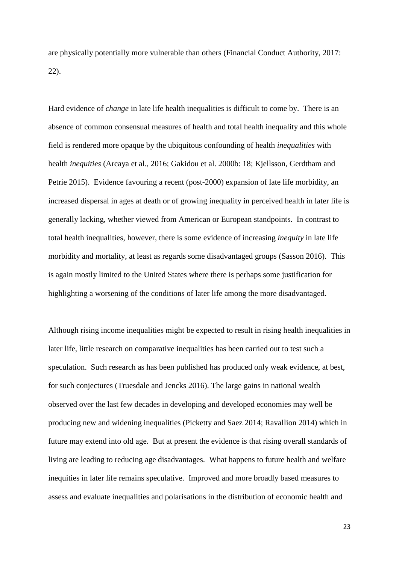are physically potentially more vulnerable than others (Financial Conduct Authority, 2017: 22).

Hard evidence of *change* in late life health inequalities is difficult to come by. There is an absence of common consensual measures of health and total health inequality and this whole field is rendered more opaque by the ubiquitous confounding of health *inequalities* with health *inequities* (Arcaya et al., 2016; Gakidou et al. 2000b: 18; Kjellsson, Gerdtham and Petrie 2015). Evidence favouring a recent (post-2000) expansion of late life morbidity, an increased dispersal in ages at death or of growing inequality in perceived health in later life is generally lacking, whether viewed from American or European standpoints. In contrast to total health inequalities, however, there is some evidence of increasing *inequity* in late life morbidity and mortality, at least as regards some disadvantaged groups (Sasson 2016). This is again mostly limited to the United States where there is perhaps some justification for highlighting a worsening of the conditions of later life among the more disadvantaged.

Although rising income inequalities might be expected to result in rising health inequalities in later life, little research on comparative inequalities has been carried out to test such a speculation. Such research as has been published has produced only weak evidence, at best, for such conjectures (Truesdale and Jencks 2016). The large gains in national wealth observed over the last few decades in developing and developed economies may well be producing new and widening inequalities (Picketty and Saez 2014; Ravallion 2014) which in future may extend into old age. But at present the evidence is that rising overall standards of living are leading to reducing age disadvantages. What happens to future health and welfare inequities in later life remains speculative. Improved and more broadly based measures to assess and evaluate inequalities and polarisations in the distribution of economic health and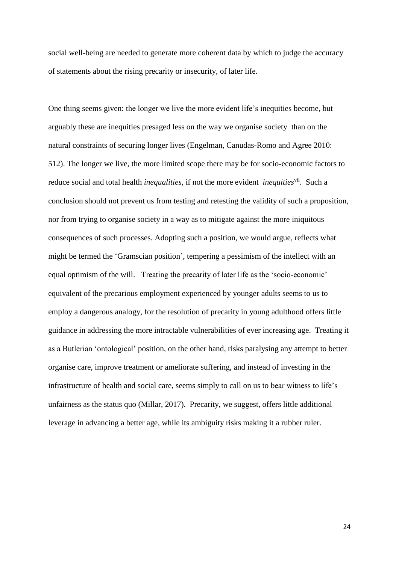social well-being are needed to generate more coherent data by which to judge the accuracy of statements about the rising precarity or insecurity, of later life.

One thing seems given: the longer we live the more evident life's inequities become, but arguably these are inequities presaged less on the way we organise society than on the natural constraints of securing longer lives (Engelman, Canudas-Romo and Agree 2010: 512). The longer we live, the more limited scope there may be for socio-economic factors to reduce social and total health *inequalities*, if not the more evident *inequities*<sup>vii</sup>. Such a conclusion should not prevent us from testing and retesting the validity of such a proposition, nor from trying to organise society in a way as to mitigate against the more iniquitous consequences of such processes. Adopting such a position, we would argue, reflects what might be termed the 'Gramscian position', tempering a pessimism of the intellect with an equal optimism of the will. Treating the precarity of later life as the 'socio-economic' equivalent of the precarious employment experienced by younger adults seems to us to employ a dangerous analogy, for the resolution of precarity in young adulthood offers little guidance in addressing the more intractable vulnerabilities of ever increasing age. Treating it as a Butlerian 'ontological' position, on the other hand, risks paralysing any attempt to better organise care, improve treatment or ameliorate suffering, and instead of investing in the infrastructure of health and social care, seems simply to call on us to bear witness to life's unfairness as the status quo (Millar, 2017). Precarity, we suggest, offers little additional leverage in advancing a better age, while its ambiguity risks making it a rubber ruler.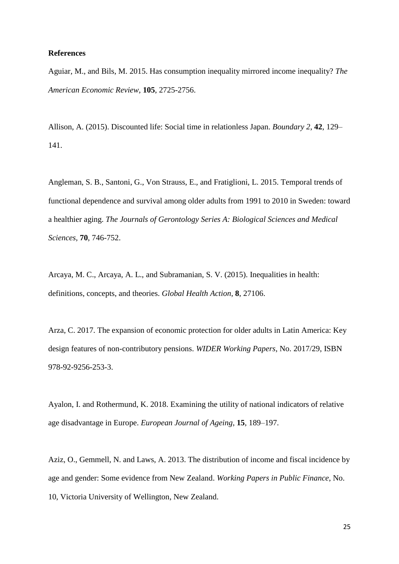#### **References**

Aguiar, M., and Bils, M. 2015. Has consumption inequality mirrored income inequality? *The American Economic Review,* **105**, 2725-2756.

Allison, A. (2015). Discounted life: Social time in relationless Japan. *Boundary 2*, **42**, 129– 141.

Angleman, S. B., Santoni, G., Von Strauss, E., and Fratiglioni, L. 2015. Temporal trends of functional dependence and survival among older adults from 1991 to 2010 in Sweden: toward a healthier aging. *The Journals of Gerontology Series A: Biological Sciences and Medical Sciences,* **70**, 746-752.

Arcaya, M. C., Arcaya, A. L., and Subramanian, S. V. (2015). Inequalities in health: definitions, concepts, and theories. *Global Health Action*, **8**, 27106.

Arza, C. 2017. The expansion of economic protection for older adults in Latin America: Key design features of non-contributory pensions. *WIDER Working Papers*, No. 2017/29, ISBN 978-92-9256-253-3.

Ayalon, I. and Rothermund, K. 2018. Examining the utility of national indicators of relative age disadvantage in Europe. *European Journal of Ageing*, **15**, 189–197.

Aziz, O., Gemmell, N. and Laws, A. 2013. The distribution of income and fiscal incidence by age and gender: Some evidence from New Zealand. *Working Papers in Public Finance*, No. 10, Victoria University of Wellington, New Zealand.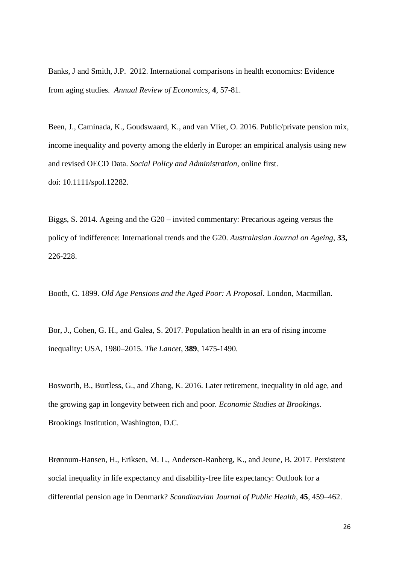Banks, J and Smith, J.P. 2012. International comparisons in health economics: Evidence from aging studies*. Annual Review of Economics,* **4**, 57-81.

Been, J., Caminada, K., Goudswaard, K., and van Vliet, O. 2016. Public/private pension mix, income inequality and poverty among the elderly in Europe: an empirical analysis using new and revised OECD Data. *Social Policy and Administration*, online first. doi: 10.1111/spol.12282.

Biggs, S. 2014. Ageing and the G20 – invited commentary: Precarious ageing versus the policy of indifference: International trends and the G20. *Australasian Journal on Ageing*, **33,** 226-228.

Booth, C. 1899. *Old Age Pensions and the Aged Poor: A Proposal*. London, Macmillan.

Bor, J., Cohen, G. H., and Galea, S. 2017. Population health in an era of rising income inequality: USA, 1980–2015. *The Lancet*, **389**, 1475-1490.

Bosworth, B., Burtless, G., and Zhang, K. 2016. Later retirement, inequality in old age, and the growing gap in longevity between rich and poor. *Economic Studies at Brookings*. Brookings Institution, Washington, D.C.

Brønnum-Hansen, H., Eriksen, M. L., Andersen-Ranberg, K., and Jeune, B. 2017. Persistent social inequality in life expectancy and disability-free life expectancy: Outlook for a differential pension age in Denmark? *Scandinavian Journal of Public Health*, **45**, 459–462.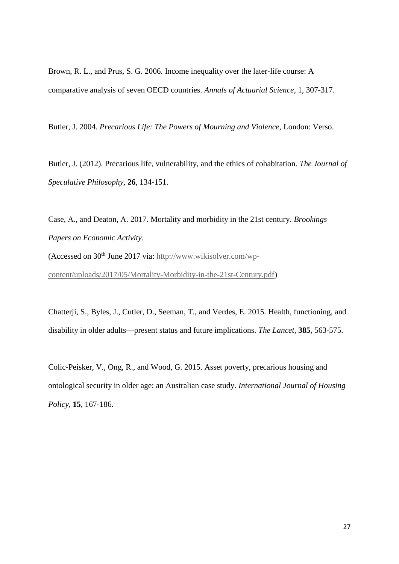Brown, R. L., and Prus, S. G. 2006. Income inequality over the later-life course: A comparative analysis of seven OECD countries. *Annals of Actuarial Science*, 1, 307-317.

Butler, J. 2004. *Precarious Life: The Powers of Mourning and Violence*, London: Verso.

Butler, J. (2012). Precarious life, vulnerability, and the ethics of cohabitation. *The Journal of Speculative Philosophy,* **26**, 134-151.

Case, A., and Deaton, A. 2017. Mortality and morbidity in the 21st century. *Brookings Papers on Economic Activity*. (Accessed on  $30<sup>th</sup>$  June 2017 via: [http://www.wikisolver.com/wp-](http://www.wikisolver.com/wp-content/uploads/2017/05/Mortality-Morbidity-in-the-21st-Century.pdf)

[content/uploads/2017/05/Mortality-Morbidity-in-the-21st-Century.pdf\)](http://www.wikisolver.com/wp-content/uploads/2017/05/Mortality-Morbidity-in-the-21st-Century.pdf)

Chatterji, S., Byles, J., Cutler, D., Seeman, T., and Verdes, E. 2015. Health, functioning, and disability in older adults—present status and future implications. *The Lancet*, **385**, 563-575.

Colic-Peisker, V., Ong, R., and Wood, G. 2015. Asset poverty, precarious housing and ontological security in older age: an Australian case study. *International Journal of Housing Policy,* **15**, 167-186.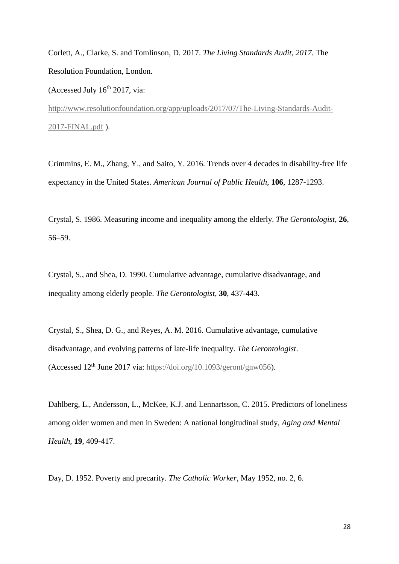Corlett, A., Clarke, S. and Tomlinson, D. 2017. *The Living Standards Audit, 2017.* The Resolution Foundation, London.

(Accessed July  $16<sup>th</sup> 2017$ , via:

[http://www.resolutionfoundation.org/app/uploads/2017/07/The-Living-Standards-Audit-](http://www.resolutionfoundation.org/app/uploads/2017/07/The-Living-Standards-Audit-2017-FINAL.pdf)[2017-FINAL.pdf](http://www.resolutionfoundation.org/app/uploads/2017/07/The-Living-Standards-Audit-2017-FINAL.pdf) ).

Crimmins, E. M., Zhang, Y., and Saito, Y. 2016. Trends over 4 decades in disability-free life expectancy in the United States. *American Journal of Public Health*, **106**, 1287-1293.

Crystal, S. 1986. Measuring income and inequality among the elderly. *The Gerontologist,* **26**, 56–59.

Crystal, S., and Shea, D. 1990. Cumulative advantage, cumulative disadvantage, and inequality among elderly people. *The Gerontologist*, **30**, 437-443.

Crystal, S., Shea, D. G., and Reyes, A. M. 2016. Cumulative advantage, cumulative disadvantage, and evolving patterns of late-life inequality. *The Gerontologist*. (Accessed  $12<sup>th</sup>$  June 2017 via: [https://doi.org/10.1093/geront/gnw056\)](https://doi.org/10.1093/geront/gnw056).

Dahlberg, L., Andersson, L., McKee, K.J. and Lennartsson, C. 2015. Predictors of loneliness among older women and men in Sweden: A national longitudinal study, *Aging and Mental Health,* **19**, 409-417.

Day, D. 1952. Poverty and precarity. *The Catholic Worker*, May 1952, no. 2, 6.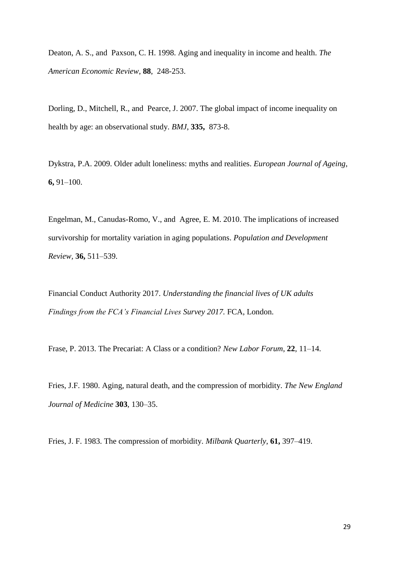Deaton, A. S., and Paxson, C. H. 1998. Aging and inequality in income and health. *The American Economic Review*, **88**, 248-253.

Dorling, D., Mitchell, R., and Pearce, J. 2007. The global impact of income inequality on health by age: an observational study. *BMJ*, **335,** 873-8.

Dykstra, P.A. 2009. Older adult loneliness: myths and realities. *European Journal of Ageing*, **6,** 91–100.

Engelman, M., Canudas-Romo, V., and Agree, E. M. 2010. The implications of increased survivorship for mortality variation in aging populations. *Population and Development Review,* **36,** 511–539.

Financial Conduct Authority 2017. *Understanding the financial lives of UK adults Findings from the FCA's Financial Lives Survey 2017.* FCA, London.

Frase, P. 2013. The Precariat: A Class or a condition? *New Labor Forum*, **22**, 11–14.

Fries, J.F. 1980. Aging, natural death, and the compression of morbidity. *The New England Journal of Medicine* **303**, 130–35.

Fries, J. F. 1983. The compression of morbidity. *Milbank Quarterly*, **61,** 397–419.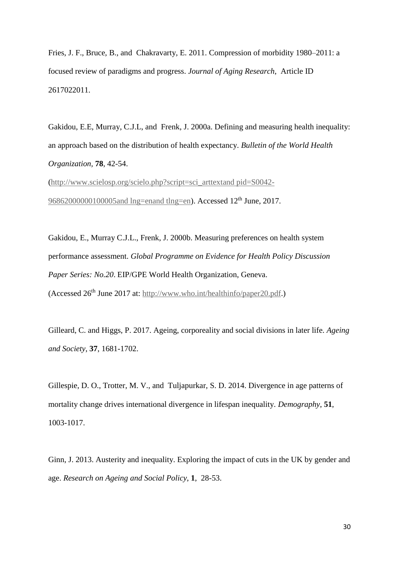Fries, J. F., Bruce, B., and Chakravarty, E. 2011. Compression of morbidity 1980–2011: a focused review of paradigms and progress. *Journal of Aging Research*, Article ID 2617022011.

Gakidou, E.E, Murray, C.J.L, and Frenk, J. 2000a. Defining and measuring health inequality: an approach based on the distribution of health expectancy. *Bulletin of the World Health Organization,* **78**, 42-54.

[\(http://www.scielosp.org/scielo.php?script=sci\\_arttextand pid=S0042-](http://www.scielosp.org/scielo.php?script=sci_arttext&pid=S0042-96862000000100005&lng=en&tlng=en) [96862000000100005and lng=enand tlng=en\)](http://www.scielosp.org/scielo.php?script=sci_arttext&pid=S0042-96862000000100005&lng=en&tlng=en). Accessed 12<sup>th</sup> June, 2017.

Gakidou, E., Murray C.J.L., Frenk, J. 2000b. Measuring preferences on health system performance assessment. *Global Programme on Evidence for Health Policy Discussion Paper Series: No.20*. EIP/GPE World Health Organization, Geneva. (Accessed 26th June 2017 at: [http://www.who.int/healthinfo/paper20.pdf.](http://www.who.int/healthinfo/paper20.pdf))

Gilleard, C. and Higgs, P. 2017. Ageing, corporeality and social divisions in later life. *Ageing and Society*, **37**, 1681-1702.

Gillespie, D. O., Trotter, M. V., and Tuljapurkar, S. D. 2014. Divergence in age patterns of mortality change drives international divergence in lifespan inequality. *Demography*, **51**, 1003-1017.

Ginn, J. 2013. Austerity and inequality. Exploring the impact of cuts in the UK by gender and age. *Research on Ageing and Social Policy*, **1**, 28-53.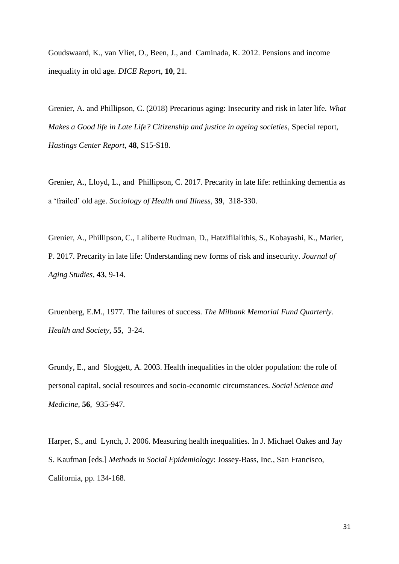Goudswaard, K., van Vliet, O., Been, J., and Caminada, K. 2012. Pensions and income inequality in old age. *DICE Report*, **10**, 21.

Grenier, A. and Phillipson, C. (2018) Precarious aging: Insecurity and risk in later life. *What Makes a Good life in Late Life? Citizenship and justice in ageing societies*, Special report, *Hastings Center Report*, **48**, S15-S18.

Grenier, A., Lloyd, L., and Phillipson, C. 2017. Precarity in late life: rethinking dementia as a 'frailed' old age. *Sociology of Health and Illness*, **39**, 318-330.

Grenier, A., Phillipson, C., Laliberte Rudman, D., Hatzifilalithis, S., Kobayashi, K., Marier, P. 2017. Precarity in late life: Understanding new forms of risk and insecurity. *Journal of Aging Studies,* **43**, 9-14.

Gruenberg, E.M., 1977. The failures of success. *The Milbank Memorial Fund Quarterly. Health and Society,* **55**, 3-24.

Grundy, E., and Sloggett, A. 2003. Health inequalities in the older population: the role of personal capital, social resources and socio-economic circumstances. *Social Science and Medicine,* **56**, 935-947.

Harper, S., and Lynch, J. 2006. Measuring health inequalities. In J. Michael Oakes and Jay S. Kaufman [eds.] *Methods in Social Epidemiology*: Jossey-Bass, Inc., San Francisco, California, pp. 134-168.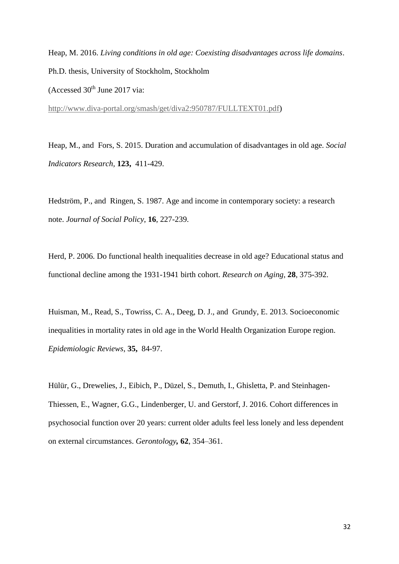Heap, M. 2016. *Living conditions in old age: Coexisting disadvantages across life domains*. Ph.D. thesis, University of Stockholm, Stockholm (Accessed  $30<sup>th</sup>$  June 2017 via:

[http://www.diva-portal.org/smash/get/diva2:950787/FULLTEXT01.pdf\)](http://www.diva-portal.org/smash/get/diva2:950787/FULLTEXT01.pdf)

Heap, M., and Fors, S. 2015. Duration and accumulation of disadvantages in old age. *Social Indicators Research,* **123,** 411-429.

Hedström, P., and Ringen, S. 1987. Age and income in contemporary society: a research note. *Journal of Social Policy*, **16**, 227-239.

Herd, P. 2006. Do functional health inequalities decrease in old age? Educational status and functional decline among the 1931-1941 birth cohort. *Research on Aging*, **28**, 375-392.

Huisman, M., Read, S., Towriss, C. A., Deeg, D. J., and Grundy, E. 2013. Socioeconomic inequalities in mortality rates in old age in the World Health Organization Europe region. *Epidemiologic Reviews*, **35,** 84-97.

Hülür, G., Drewelies, J., Eibich, P., Düzel, S., Demuth, I., Ghisletta, P. and Steinhagen-Thiessen, E., Wagner, G.G., Lindenberger, U. and Gerstorf, J. 2016. Cohort differences in psychosocial function over 20 years: current older adults feel less lonely and less dependent on external circumstances. *Gerontology,* **62**, 354–361.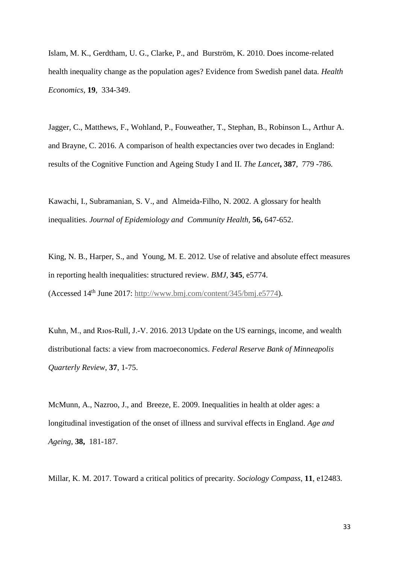Islam, M. K., Gerdtham, U. G., Clarke, P., and Burström, K. 2010. Does income‐related health inequality change as the population ages? Evidence from Swedish panel data. *Health Economics*, **19**, 334-349.

Jagger, C., Matthews, F., Wohland, P., Fouweather, T., Stephan, B., Robinson L., Arthur A. and Brayne, C. 2016. A comparison of health expectancies over two decades in England: results of the Cognitive Function and Ageing Study I and II. *The Lancet***, 387**, 779 -786.

Kawachi, I., Subramanian, S. V., and Almeida-Filho, N. 2002. A glossary for health inequalities. *Journal of Epidemiology and Community Health*, **56,** 647-652.

King, N. B., Harper, S., and Young, M. E. 2012. Use of relative and absolute effect measures in reporting health inequalities: structured review. *BMJ*, **345**, e5774. (Accessed 14th June 2017: [http://www.bmj.com/content/345/bmj.e5774\)](http://www.bmj.com/content/345/bmj.e5774).

Kuhn, M., and Rıos-Rull, J.-V. 2016. 2013 Update on the US earnings, income, and wealth distributional facts: a view from macroeconomics. *Federal Reserve Bank of Minneapolis Quarterly Review*, **37**, 1-75.

McMunn, A., Nazroo, J., and Breeze, E. 2009. Inequalities in health at older ages: a longitudinal investigation of the onset of illness and survival effects in England. *Age and Ageing,* **38,** 181-187.

Millar, K. M. 2017. Toward a critical politics of precarity. *Sociology Compass*, **11**, e12483.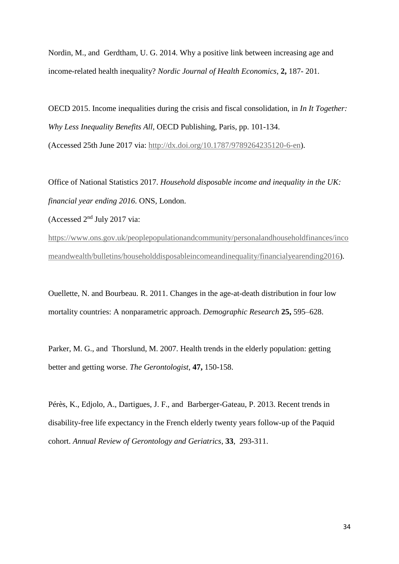Nordin, M., and Gerdtham, U. G. 2014. Why a positive link between increasing age and income-related health inequality? *Nordic Journal of Health Economics*, **2,** 187- 201.

OECD 2015. Income inequalities during the crisis and fiscal consolidation, in *In It Together: Why Less Inequality Benefits All,* OECD Publishing, Paris, pp. 101-134. (Accessed 25th June 2017 via: [http://dx.doi.org/10.1787/9789264235120-6-en\)](http://dx.doi.org/10.1787/9789264235120-6-en).

Office of National Statistics 2017. *Household disposable income and inequality in the UK: financial year ending 2016.* ONS, London.

(Accessed 2nd July 2017 via:

[https://www.ons.gov.uk/peoplepopulationandcommunity/personalandhouseholdfinances/inco](https://www.ons.gov.uk/peoplepopulationandcommunity/personalandhouseholdfinances/incomeandwealth/bulletins/householddisposableincomeandinequality/financialyearending2016) [meandwealth/bulletins/householddisposableincomeandinequality/financialyearending2016\)](https://www.ons.gov.uk/peoplepopulationandcommunity/personalandhouseholdfinances/incomeandwealth/bulletins/householddisposableincomeandinequality/financialyearending2016).

Ouellette, N. and Bourbeau. R. 2011. Changes in the age-at-death distribution in four low mortality countries: A nonparametric approach. *Demographic Research* **25,** 595–628.

Parker, M. G., and Thorslund, M. 2007. Health trends in the elderly population: getting better and getting worse. *The Gerontologist*, **47,** 150-158.

Pérès, K., Edjolo, A., Dartigues, J. F., and Barberger-Gateau, P. 2013. Recent trends in disability-free life expectancy in the French elderly twenty years follow-up of the Paquid cohort. *Annual Review of Gerontology and Geriatrics*, **33**, 293-311.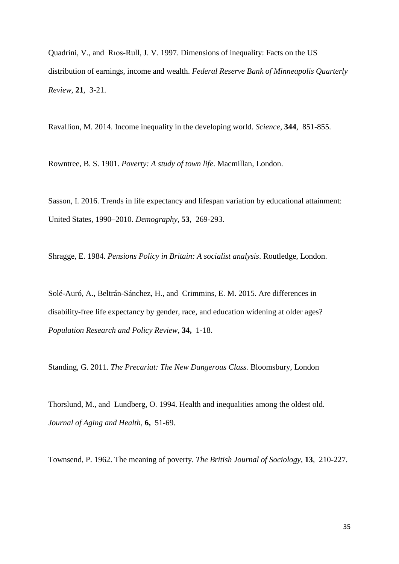Quadrini, V., and Rıos-Rull, J. V. 1997. Dimensions of inequality: Facts on the US distribution of earnings, income and wealth. *Federal Reserve Bank of Minneapolis Quarterly Review,* **21**, 3-21.

Ravallion, M. 2014. Income inequality in the developing world. *Science*, **344**, 851-855.

Rowntree, B. S. 1901. *Poverty: A study of town life*. Macmillan, London.

Sasson, I. 2016. Trends in life expectancy and lifespan variation by educational attainment: United States, 1990–2010. *Demography*, **53**, 269-293.

Shragge, E. 1984. *Pensions Policy in Britain: A socialist analysis*. Routledge, London.

Solé-Auró, A., Beltrán-Sánchez, H., and Crimmins, E. M. 2015. Are differences in disability-free life expectancy by gender, race, and education widening at older ages? *Population Research and Policy Review*, **34,** 1-18.

Standing, G. 2011. *The Precariat: The New Dangerous Class.* Bloomsbury, London

Thorslund, M., and Lundberg, O. 1994. Health and inequalities among the oldest old. *Journal of Aging and Health,* **6,** 51-69.

Townsend, P. 1962. The meaning of poverty. *The British Journal of Sociology*, **13**, 210-227.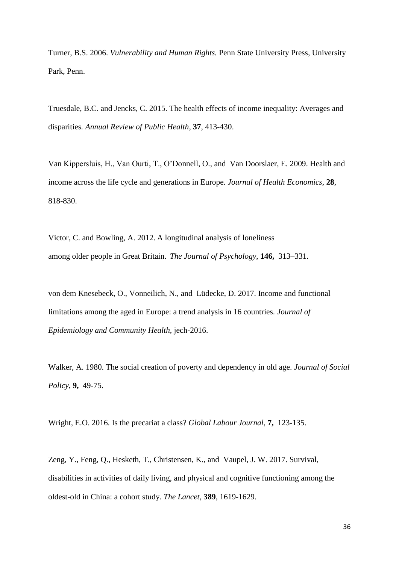Turner, B.S. 2006. *Vulnerability and Human Rights.* Penn State University Press, University Park, Penn.

Truesdale, B.C. and Jencks, C. 2015. The health effects of income inequality: Averages and disparities*. Annual Review of Public Health*, **37**, 413-430.

Van Kippersluis, H., Van Ourti, T., O'Donnell, O., and Van Doorslaer, E. 2009. Health and income across the life cycle and generations in Europe*. Journal of Health Economics*, **28**, 818-830.

Victor, C. and Bowling, A. 2012. A longitudinal analysis of loneliness among older people in Great Britain. *The Journal of Psychology*, **146,** 313–331.

von dem Knesebeck, O., Vonneilich, N., and Lüdecke, D. 2017. Income and functional limitations among the aged in Europe: a trend analysis in 16 countries. *Journal of Epidemiology and Community Health,* jech-2016.

Walker, A. 1980. The social creation of poverty and dependency in old age. *Journal of Social Policy*, **9,** 49-75.

Wright, E.O. 2016. Is the precariat a class? *Global Labour Journal*, **7,** 123-135.

Zeng, Y., Feng, Q., Hesketh, T., Christensen, K., and Vaupel, J. W. 2017. Survival, disabilities in activities of daily living, and physical and cognitive functioning among the oldest-old in China: a cohort study. *The Lancet*, **389**, 1619-1629.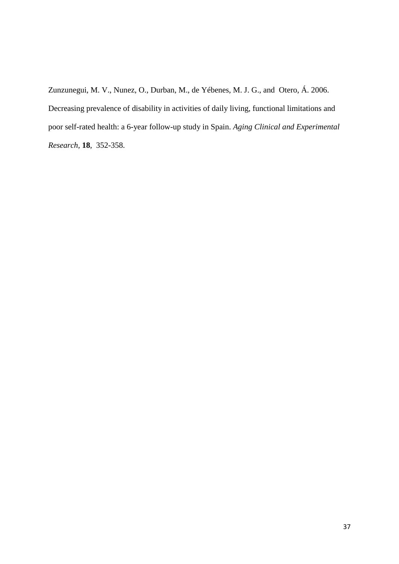Zunzunegui, M. V., Nunez, O., Durban, M., de Yébenes, M. J. G., and Otero, Á. 2006. Decreasing prevalence of disability in activities of daily living, functional limitations and poor self-rated health: a 6-year follow-up study in Spain. *Aging Clinical and Experimental Research,* **18**, 352-358.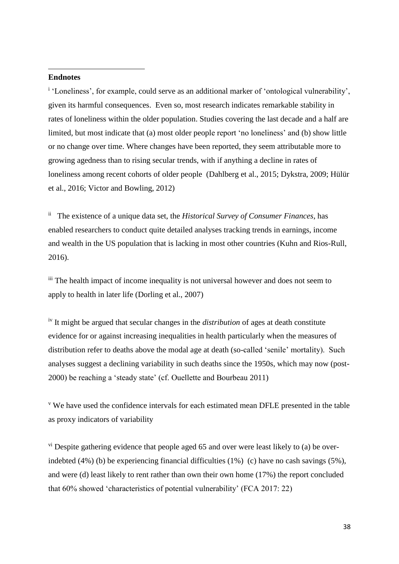# **Endnotes**

**.** 

<sup>i</sup> 'Loneliness', for example, could serve as an additional marker of 'ontological vulnerability', given its harmful consequences. Even so, most research indicates remarkable stability in rates of loneliness within the older population. Studies covering the last decade and a half are limited, but most indicate that (a) most older people report 'no loneliness' and (b) show little or no change over time. Where changes have been reported, they seem attributable more to growing agedness than to rising secular trends, with if anything a decline in rates of loneliness among recent cohorts of older people (Dahlberg et al., 2015; Dykstra, 2009; Hülür et al., 2016; Victor and Bowling, 2012)

ii The existence of a unique data set, the *Historical Survey of Consumer Finances*, has enabled researchers to conduct quite detailed analyses tracking trends in earnings, income and wealth in the US population that is lacking in most other countries (Kuhn and Rios-Rull, 2016).

iii The health impact of income inequality is not universal however and does not seem to apply to health in later life (Dorling et al., 2007)

iv It might be argued that secular changes in the *distribution* of ages at death constitute evidence for or against increasing inequalities in health particularly when the measures of distribution refer to deaths above the modal age at death (so-called 'senile' mortality). Such analyses suggest a declining variability in such deaths since the 1950s, which may now (post-2000) be reaching a 'steady state' (cf. Ouellette and Bourbeau 2011)

<sup>v</sup> We have used the confidence intervals for each estimated mean DFLE presented in the table as proxy indicators of variability

 $v<sup>i</sup>$  Despite gathering evidence that people aged 65 and over were least likely to (a) be overindebted (4%) (b) be experiencing financial difficulties (1%) (c) have no cash savings (5%), and were (d) least likely to rent rather than own their own home (17%) the report concluded that 60% showed 'characteristics of potential vulnerability' (FCA 2017: 22)